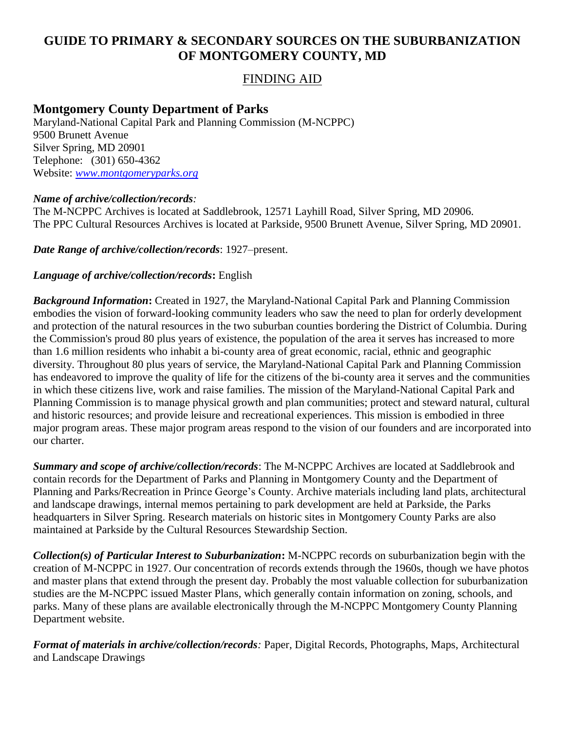# **GUIDE TO PRIMARY & SECONDARY SOURCES ON THE SUBURBANIZATION OF MONTGOMERY COUNTY, MD**

## FINDING AID

### **Montgomery County Department of Parks**

Maryland-National Capital Park and Planning Commission (M-NCPPC) 9500 Brunett Avenue Silver Spring, MD 20901 Telephone: (301) 650-4362 Website: *[www.montgomeryparks.org](http://www.montgomeryparks.org/)*

#### *Name of archive/collection/records:*

The M-NCPPC Archives is located at Saddlebrook, 12571 Layhill Road, Silver Spring, MD 20906. The PPC Cultural Resources Archives is located at Parkside, 9500 Brunett Avenue, Silver Spring, MD 20901.

*Date Range of archive/collection/records*: 1927–present.

#### *Language of archive/collection/records***:** English

*Background Information***:** Created in 1927, the Maryland-National Capital Park and Planning Commission embodies the vision of forward-looking community leaders who saw the need to plan for orderly development and protection of the natural resources in the two suburban counties bordering the District of Columbia. During the Commission's proud 80 plus years of existence, the population of the area it serves has increased to more than 1.6 million residents who inhabit a bi-county area of great economic, racial, ethnic and geographic diversity. Throughout 80 plus years of service, the Maryland-National Capital Park and Planning Commission has endeavored to improve the quality of life for the citizens of the bi-county area it serves and the communities in which these citizens live, work and raise families. The mission of the Maryland-National Capital Park and Planning Commission is to manage physical growth and plan communities; protect and steward natural, cultural and historic resources; and provide leisure and recreational experiences. This mission is embodied in three major program areas. These major program areas respond to the vision of our founders and are incorporated into our charter.

*Summary and scope of archive/collection/records*: The M-NCPPC Archives are located at Saddlebrook and contain records for the Department of Parks and Planning in Montgomery County and the Department of Planning and Parks/Recreation in Prince George's County. Archive materials including land plats, architectural and landscape drawings, internal memos pertaining to park development are held at Parkside, the Parks headquarters in Silver Spring. Research materials on historic sites in Montgomery County Parks are also maintained at Parkside by the Cultural Resources Stewardship Section.

*Collection(s) of Particular Interest to Suburbanization***:** M-NCPPC records on suburbanization begin with the creation of M-NCPPC in 1927. Our concentration of records extends through the 1960s, though we have photos and master plans that extend through the present day. Probably the most valuable collection for suburbanization studies are the M-NCPPC issued Master Plans, which generally contain information on zoning, schools, and parks. Many of these plans are available electronically through the M-NCPPC Montgomery County Planning Department website.

*Format of materials in archive/collection/records:* Paper, Digital Records, Photographs, Maps, Architectural and Landscape Drawings